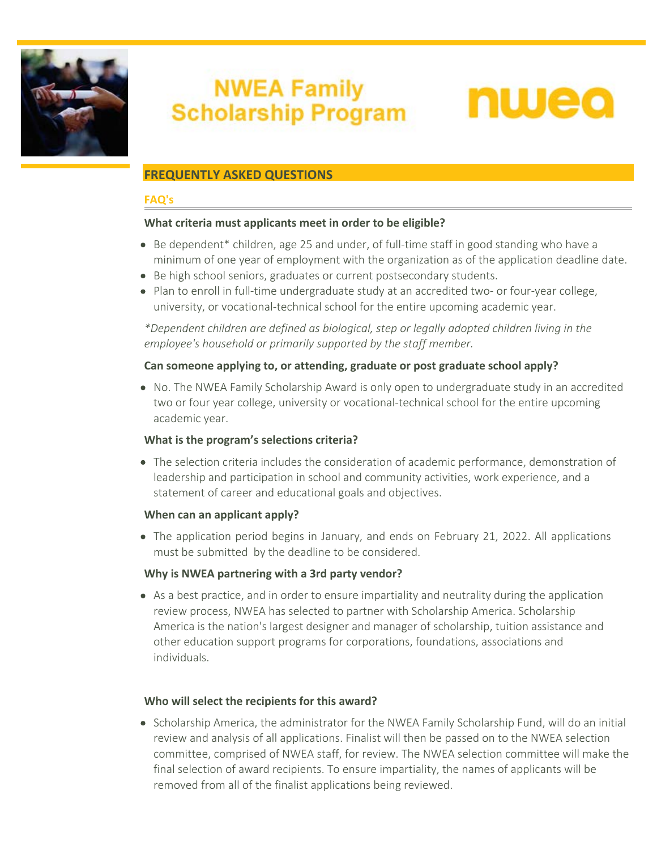

# **NWEA Family Scholarship Program**



# **FREQUENTLY ASKED QUESTIONS**

#### **FAQ's**

#### **What criteria must applicants meet in order to be eligible?**

- Be dependent\* children, age 25 and under, of full-time staff in good standing who have a minimum of one year of employment with the organization as of the application deadline date.
- Be high school seniors, graduates or current postsecondary students.
- Plan to enroll in full-time undergraduate study at an accredited two- or four-year college, university, or vocational-technical school for the entire upcoming academic year.

*\*Dependent children are defined as biological, step or legally adopted children living in the employee's household or primarily supported by the staff member.*

#### **Can someone applying to, or attending, graduate or post graduate school apply?**

• No. The NWEA Family Scholarship Award is only open to undergraduate study in an accredited two or four year college, university or vocational-technical school for the entire upcoming academic year.

#### **What is the program's selections criteria?**

The selection criteria includes the consideration of academic performance, demonstration of leadership and participation in school and community activities, work experience, and a statement of career and educational goals and objectives.

#### **When can an applicant apply?**

• The application period begins in January, and ends on February 21, 2022. All applications must be submitted by the deadline to be considered.

#### **Why is NWEA partnering with a 3rd party vendor?**

As a best practice, and in order to ensure impartiality and neutrality during the application review process, NWEA has selected to partner with Scholarship America. Scholarship America is the nation's largest designer and manager of scholarship, tuition assistance and other education support programs for corporations, foundations, associations and individuals.

#### **Who will select the recipients for this award?**

• Scholarship America, the administrator for the NWEA Family Scholarship Fund, will do an initial review and analysis of all applications. Finalist will then be passed on to the NWEA selection committee, comprised of NWEA staff, for review. The NWEA selection committee will make the final selection of award recipients. To ensure impartiality, the names of applicants will be removed from all of the finalist applications being reviewed.